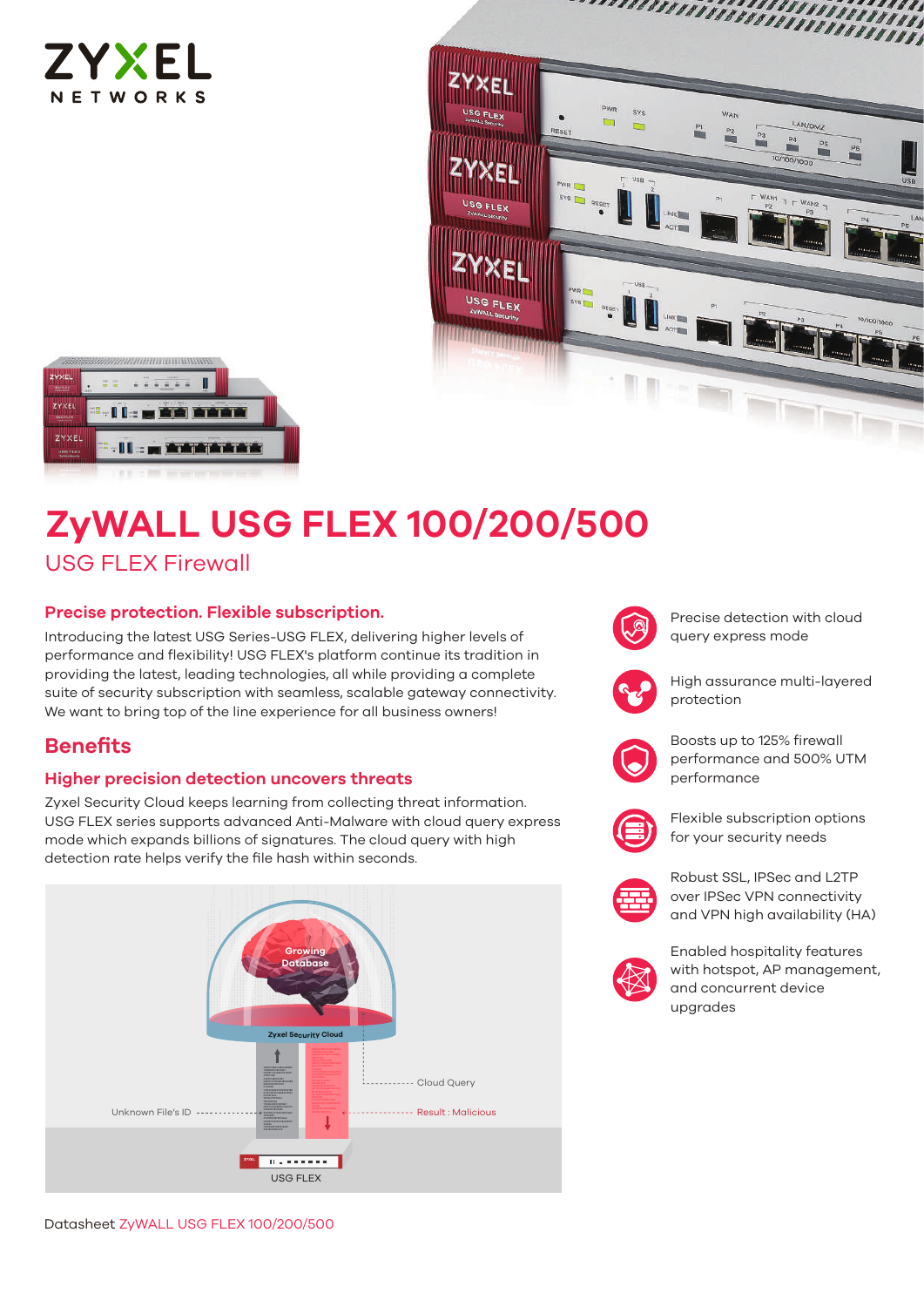





# **ZyWALL USG FLEX 100/200/500**

# USG FLEX Firewall

# **Precise protection. Flexible subscription.**

Introducing the latest USG Series-USG FLEX, delivering higher levels of performance and flexibility! USG FLEX's platform continue its tradition in providing the latest, leading technologies, all while providing a complete suite of security subscription with seamless, scalable gateway connectivity. We want to bring top of the line experience for all business owners!

# **Benefits**

# **Higher precision detection uncovers threats**

Zyxel Security Cloud keeps learning from collecting threat information. USG FLEX series supports advanced Anti-Malware with cloud query express mode which expands billions of signatures. The cloud query with high detection rate helps verify the file hash within seconds.





Precise detection with cloud query express mode



High assurance multi-layered protection



Boosts up to 125% firewall performance and 500% UTM performance



Flexible subscription options for your security needs



Robust SSL, IPSec and L2TP over IPSec VPN connectivity and VPN high availability (HA)



Enabled hospitality features with hotspot, AP management, and concurrent device upgrades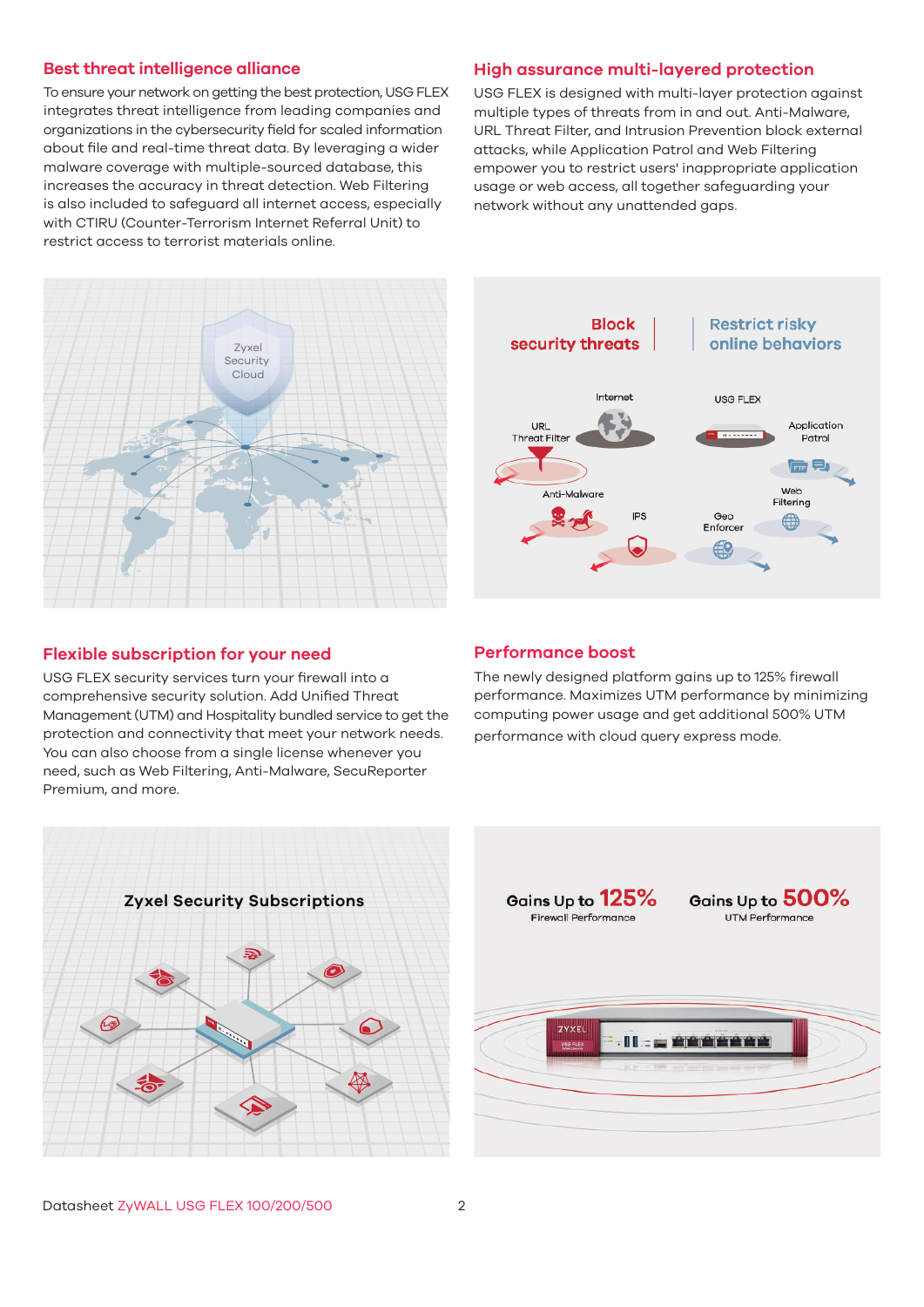#### **Best threat intelligence alliance**

To ensure your network on getting the best protection, USG FLEX integrates threat intelligence from leading companies and organizations in the cybersecurity field for scaled information about file and real-time threat data. By leveraging a wider malware coverage with multiple-sourced database, this increases the accuracy in threat detection. Web Filtering is also included to safeguard all internet access, especially with CTIRU (Counter-Terrorism Internet Referral Unit) to restrict access to terrorist materials online.



## **Flexible subscription for your need**

USG FLEX security services turn your firewall into a comprehensive security solution. Add Unified Threat Management (UTM) and Hospitality bundled service to get the protection and connectivity that meet your network needs. You can also choose from a single license whenever you need, such as Web Filtering, Anti-Malware, SecuReporter Premium, and more.



USG FLEX is designed with multi-layer protection against multiple types of threats from in and out. Anti-Malware, URL Threat Filter, and Intrusion Prevention block external attacks, while Application Patrol and Web Filtering empower you to restrict users' inappropriate application usage or web access, all together safeguarding your network without any unattended gaps.



#### **Performance boost**

The newly designed platform gains up to 125% firewall performance. Maximizes UTM performance by minimizing computing power usage and get additional 500% UTM performance with cloud query express mode.



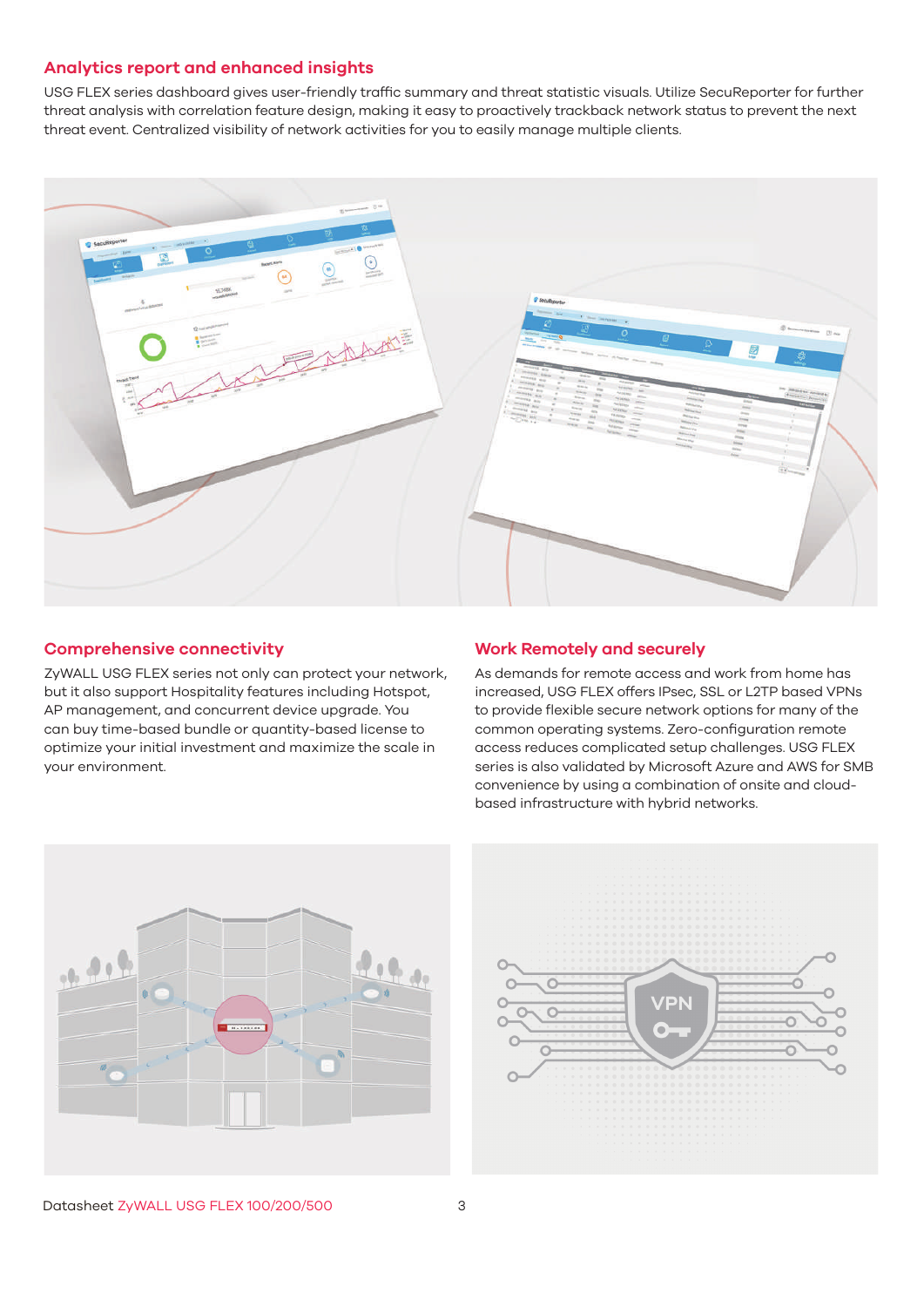## **Analytics report and enhanced insights**

USG FLEX series dashboard gives user-friendly traffic summary and threat statistic visuals. Utilize SecuReporter for further threat analysis with correlation feature design, making it easy to proactively trackback network status to prevent the next threat event. Centralized visibility of network activities for you to easily manage multiple clients.



#### **Comprehensive connectivity**

ZyWALL USG FLEX series not only can protect your network, but it also support Hospitality features including Hotspot, AP management, and concurrent device upgrade. You can buy time-based bundle or quantity-based license to optimize your initial investment and maximize the scale in your environment.

#### **Work Remotely and securely**

As demands for remote access and work from home has increased, USG FLEX offers IPsec, SSL or L2TP based VPNs to provide flexible secure network options for many of the common operating systems. Zero-configuration remote access reduces complicated setup challenges. USG FLEX series is also validated by Microsoft Azure and AWS for SMB convenience by using a combination of onsite and cloudbased infrastructure with hybrid networks.





Datasheet ZyWALL USG FLEX 100/200/500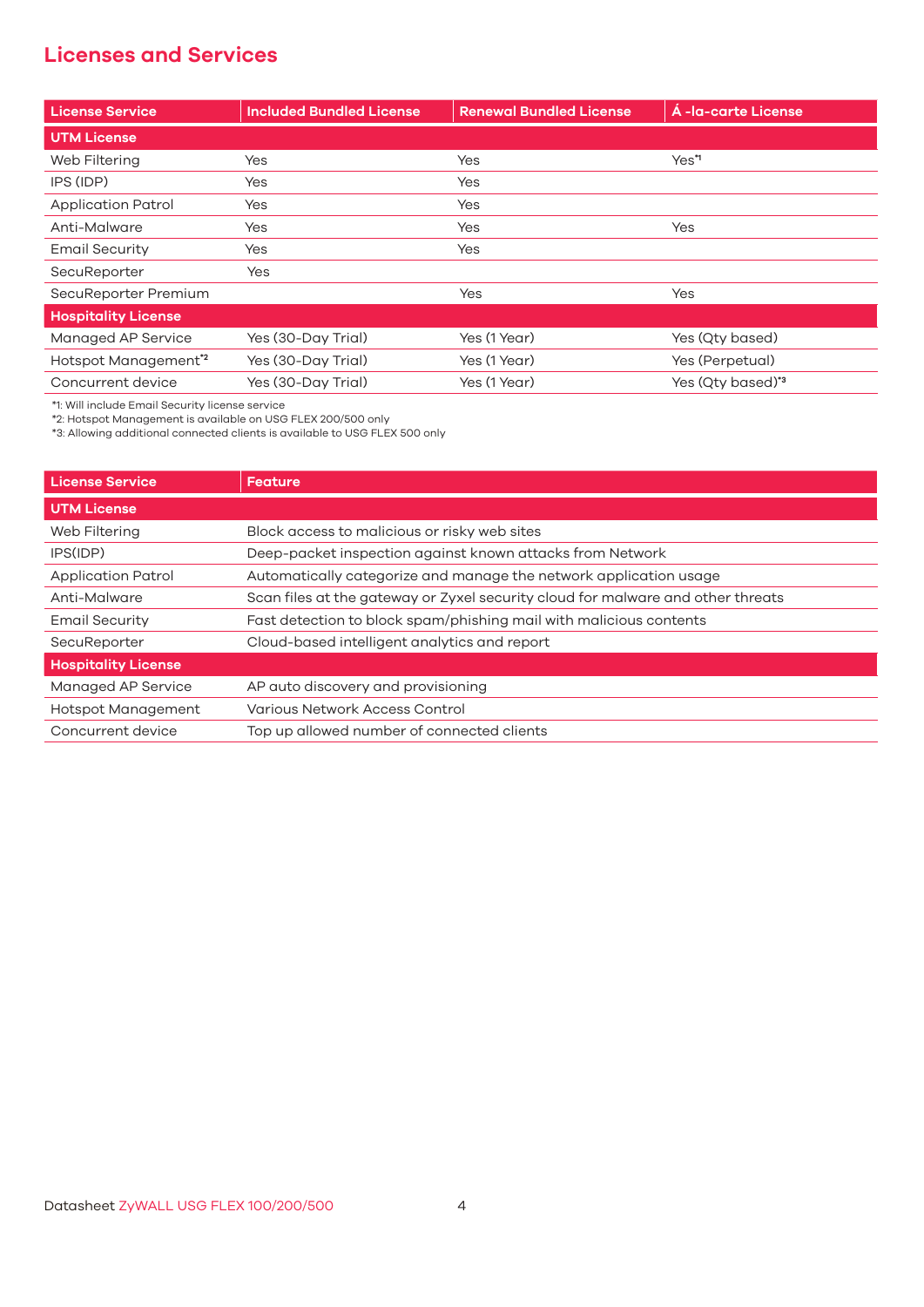# **Licenses and Services**

| <b>License Service</b>           | <b>Included Bundled License</b> | <b>Renewal Bundled License</b> | Á -la-carte License |
|----------------------------------|---------------------------------|--------------------------------|---------------------|
| <b>UTM License</b>               |                                 |                                |                     |
| Web Filtering                    | Yes                             | Yes                            | Yes*1               |
| IPS (IDP)                        | Yes                             | Yes                            |                     |
| Application Patrol               | Yes                             | Yes                            |                     |
| Anti-Malware                     | Yes                             | Yes                            | Yes                 |
| <b>Email Security</b>            | Yes                             | Yes                            |                     |
| SecuReporter                     | Yes                             |                                |                     |
| SecuReporter Premium             |                                 | Yes                            | Yes                 |
| <b>Hospitality License</b>       |                                 |                                |                     |
| Managed AP Service               | Yes (30-Day Trial)              | Yes (1 Year)                   | Yes (Qty based)     |
| Hotspot Management <sup>*2</sup> | Yes (30-Day Trial)              | Yes (1 Year)                   | Yes (Perpetual)     |
| Concurrent device                | Yes (30-Day Trial)              | Yes (1 Year)                   | Yes (Qty based)*3   |

\*1: Will include Email Security license service

\*2: Hotspot Management is available on USG FLEX 200/500 only

\*3: Allowing additional connected clients is available to USG FLEX 500 only

| <b>License Service</b>     | Feature                                                                         |
|----------------------------|---------------------------------------------------------------------------------|
| <b>UTM License</b>         |                                                                                 |
| Web Filtering              | Block access to malicious or risky web sites                                    |
| IPS(IDP)                   | Deep-packet inspection against known attacks from Network                       |
| <b>Application Patrol</b>  | Automatically categorize and manage the network application usage               |
| Anti-Malware               | Scan files at the gateway or Zyxel security cloud for malware and other threats |
| <b>Email Security</b>      | Fast detection to block spam/phishing mail with malicious contents              |
| SecuReporter               | Cloud-based intelligent analytics and report                                    |
| <b>Hospitality License</b> |                                                                                 |
| Managed AP Service         | AP auto discovery and provisioning                                              |
| <b>Hotspot Management</b>  | Various Network Access Control                                                  |
| Concurrent device          | Top up allowed number of connected clients                                      |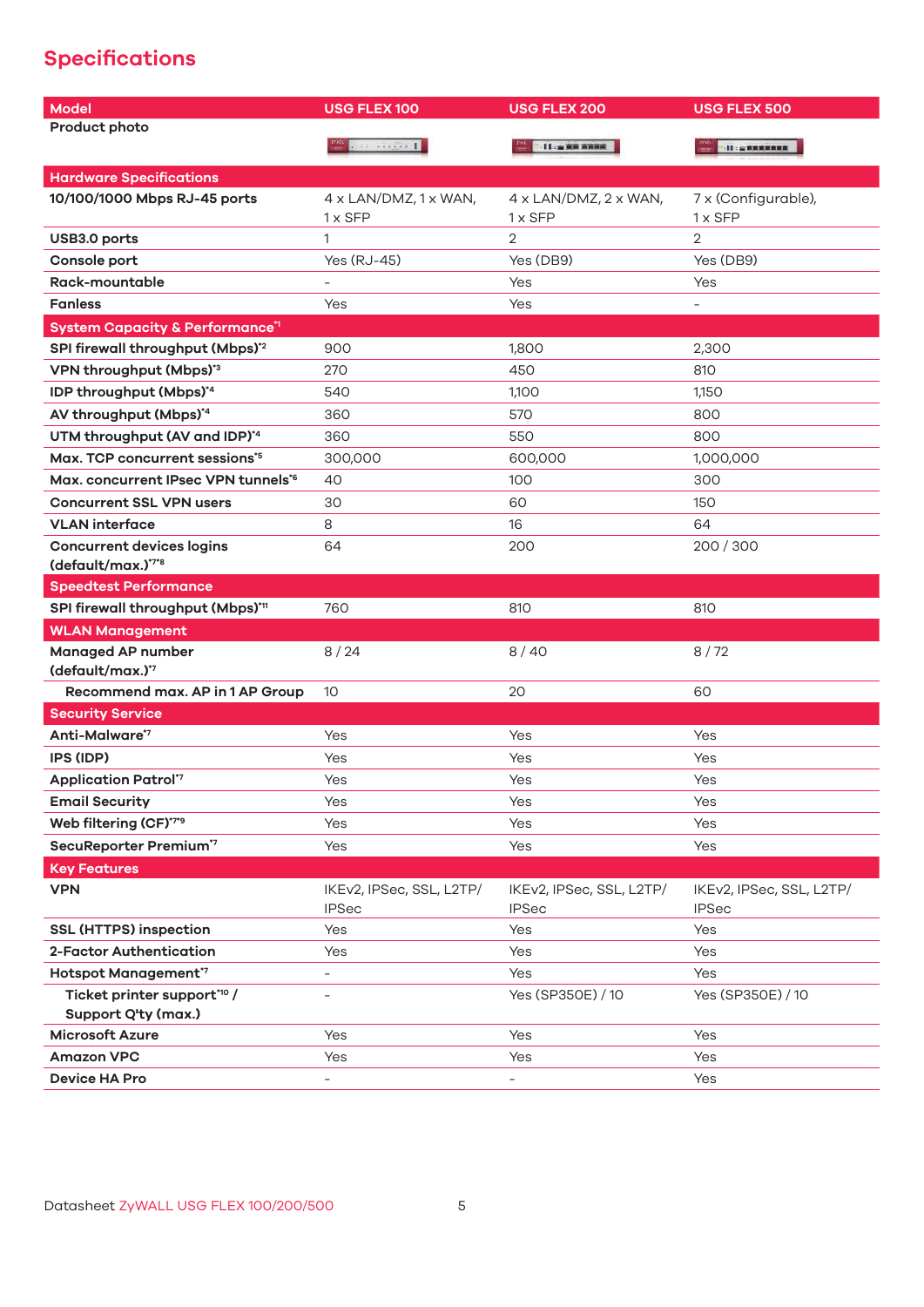# **Specifications**

| <b>Model</b>                                             | <b>USG FLEX 100</b>                      | <b>USG FLEX 200</b>                      | <b>USG FLEX 500</b>                      |
|----------------------------------------------------------|------------------------------------------|------------------------------------------|------------------------------------------|
| Product photo                                            |                                          |                                          |                                          |
|                                                          | <b>TELEVILLE</b>                         | $11 - \mu$ and manage                    |                                          |
| <b>Hardware Specifications</b>                           |                                          |                                          |                                          |
| 10/100/1000 Mbps RJ-45 ports                             | $4 \times$ LAN/DMZ, 1 $\times$ WAN,      | $4 \times$ LAN/DMZ, $2 \times$ WAN,      | 7 x (Configurable),                      |
|                                                          | $1 \times$ SFP                           | $1 \times$ SFP                           | $1 \times$ SFP                           |
| USB3.0 ports                                             | 1                                        | $\overline{2}$                           | $\overline{2}$                           |
| Console port                                             | Yes (RJ-45)                              | Yes (DB9)                                | Yes (DB9)                                |
| Rack-mountable                                           |                                          | Yes                                      | Yes                                      |
| <b>Fanless</b>                                           | Yes                                      | Yes                                      | $\equiv$                                 |
| <b>System Capacity &amp; Performance<sup>11</sup></b>    |                                          |                                          |                                          |
| SPI firewall throughput (Mbps)*2                         | 900                                      | 1,800                                    | 2,300                                    |
| VPN throughput (Mbps)*3                                  | 270                                      | 450                                      | 810                                      |
| IDP throughput (Mbps)*4                                  | 540                                      | 1,100                                    | 1,150                                    |
| AV throughput (Mbps)*4                                   | 360                                      | 570                                      | 800                                      |
| UTM throughput (AV and IDP)*4                            | 360                                      | 550                                      | 800                                      |
| Max. TCP concurrent sessions*5                           | 300,000                                  | 600,000                                  | 1,000,000                                |
| Max. concurrent IPsec VPN tunnels <sup>*6</sup>          | 40                                       | 100                                      | 300                                      |
| <b>Concurrent SSL VPN users</b>                          | 30                                       | 60                                       | 150                                      |
| <b>VLAN</b> interface                                    | 8                                        | 16                                       | 64                                       |
| <b>Concurrent devices logins</b>                         | 64                                       | 200                                      | 200/300                                  |
| (default/max.)*7*8                                       |                                          |                                          |                                          |
| <b>Speedtest Performance</b>                             |                                          |                                          |                                          |
| SPI firewall throughput (Mbps)* <sup>11</sup>            | 760                                      | 810                                      | 810                                      |
| <b>WLAN Management</b>                                   |                                          |                                          |                                          |
| <b>Managed AP number</b><br>(default/max.) <sup>*7</sup> | 8/24                                     | 8/40                                     | 8/72                                     |
| Recommend max. AP in 1 AP Group                          | 10 <sup>°</sup>                          | 20                                       | 60                                       |
| <b>Security Service</b>                                  |                                          |                                          |                                          |
| Anti-Malware*7                                           | Yes                                      | Yes                                      | Yes                                      |
| <b>IPS (IDP)</b>                                         | Yes                                      | Yes                                      | Yes                                      |
| <b>Application Patrol*7</b>                              | Yes                                      | Yes                                      | Yes                                      |
| <b>Email Security</b>                                    | Yes                                      | Yes                                      | Yes                                      |
| Web filtering (CF)*7*9                                   | Yes                                      | Yes                                      | Yes                                      |
| SecuReporter Premium*7                                   | Yes                                      | Yes                                      | Yes                                      |
| <b>Key Features</b>                                      |                                          |                                          |                                          |
| <b>VPN</b>                                               | IKEv2, IPSec, SSL, L2TP/<br><b>IPSec</b> | IKEv2, IPSec, SSL, L2TP/<br><b>IPSec</b> | IKEv2, IPSec, SSL, L2TP/<br><b>IPSec</b> |
| <b>SSL (HTTPS) inspection</b>                            | Yes                                      | Yes                                      | Yes                                      |
| 2-Factor Authentication                                  | Yes                                      | Yes                                      | Yes                                      |
| Hotspot Management <sup>*7</sup>                         | $\qquad \qquad -$                        | Yes                                      | Yes                                      |
| Ticket printer support*10 /<br>Support Q'ty (max.)       | $\overline{\phantom{a}}$                 | Yes (SP350E) / 10                        | Yes (SP350E) / 10                        |
| <b>Microsoft Azure</b>                                   | Yes                                      | Yes                                      | Yes                                      |
| <b>Amazon VPC</b>                                        | Yes                                      | Yes                                      | Yes                                      |
| <b>Device HA Pro</b>                                     | $\overline{\phantom{a}}$                 | $\overline{\phantom{0}}$                 | Yes                                      |
|                                                          |                                          |                                          |                                          |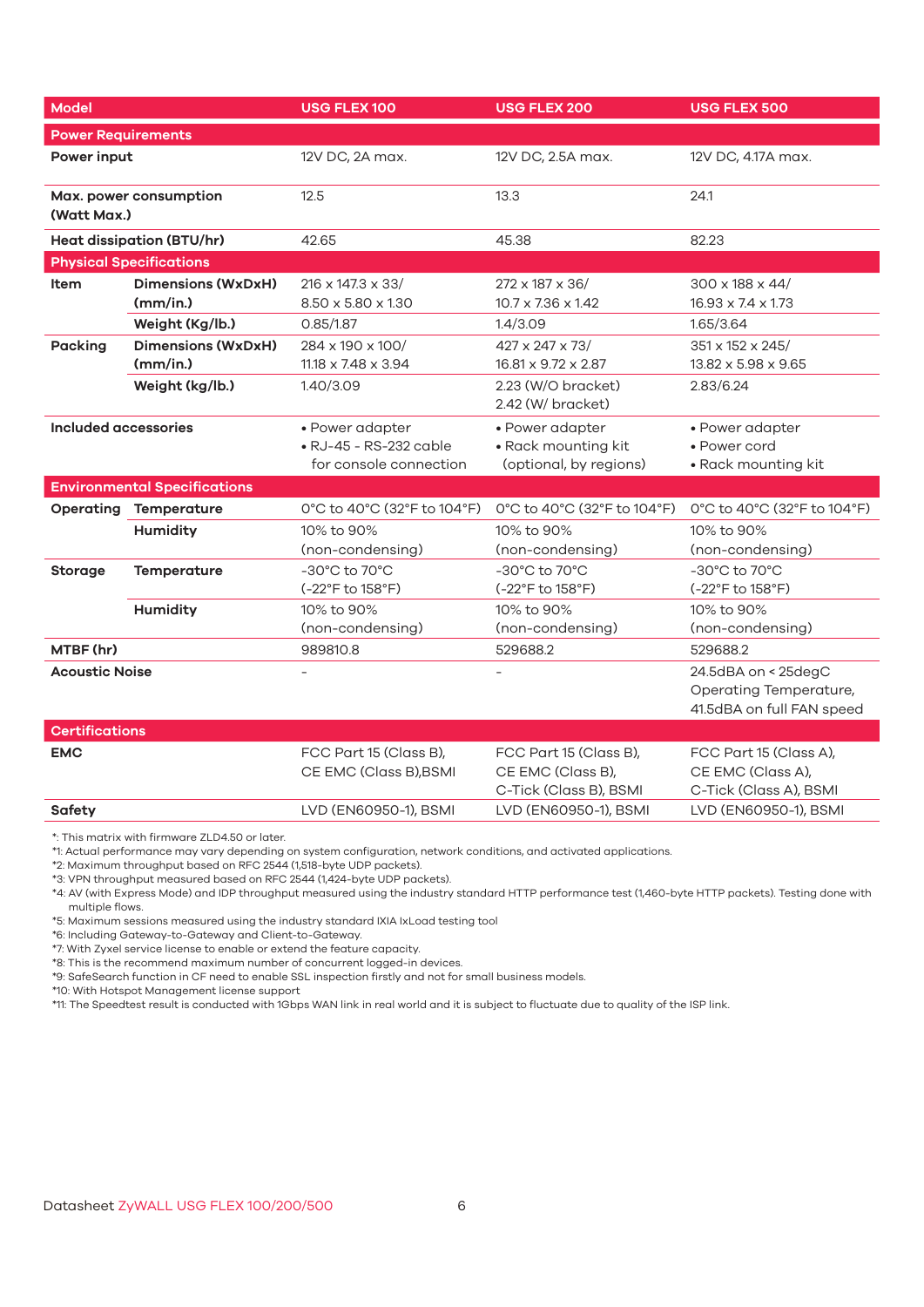| <b>Model</b>                          |                                       | USG FLEX 100                                                        | <b>USG FLEX 200</b>                                                   | <b>USG FLEX 500</b>                                                        |
|---------------------------------------|---------------------------------------|---------------------------------------------------------------------|-----------------------------------------------------------------------|----------------------------------------------------------------------------|
| <b>Power Requirements</b>             |                                       |                                                                     |                                                                       |                                                                            |
| Power input                           |                                       | 12V DC, 2A max.                                                     | 12V DC, 2.5A max.                                                     | 12V DC, 4.17A max.                                                         |
| Max. power consumption<br>(Watt Max.) |                                       | 12.5                                                                | 13.3                                                                  | 24.1                                                                       |
|                                       | <b>Heat dissipation (BTU/hr)</b>      | 42.65                                                               | 45.38                                                                 | 82.23                                                                      |
|                                       | <b>Physical Specifications</b>        |                                                                     |                                                                       |                                                                            |
| <b>Item</b>                           | <b>Dimensions (WxDxH)</b><br>(mm/in.) | $216 \times 147.3 \times 33/$<br>8.50 x 5.80 x 1.30                 | 272 x 187 x 36/<br>$10.7 \times 7.36 \times 1.42$                     | 300 x 188 x 44/<br>16.93 x 7.4 x 1.73                                      |
|                                       | Weight (Kg/lb.)                       | 0.85/1.87                                                           | 1.4/3.09                                                              | 1.65/3.64                                                                  |
| <b>Packing</b>                        | <b>Dimensions (WxDxH)</b><br>(mm/in.) | 284 x 190 x 100/<br>$11.18 \times 7.48 \times 3.94$                 | 427 x 247 x 73/<br>16.81 x 9.72 x 2.87                                | 351 x 152 x 245/<br>13.82 x 5.98 x 9.65                                    |
|                                       | Weight (kg/lb.)                       | 1.40/3.09                                                           | 2.23 (W/O bracket)<br>2.83/6.24<br>2.42 (W/ bracket)                  |                                                                            |
| <b>Included accessories</b>           |                                       | • Power adapter<br>• RJ-45 - RS-232 cable<br>for console connection | • Power adapter<br>· Rack mounting kit<br>(optional, by regions)      | • Power adapter<br>• Power cord<br>• Rack mounting kit                     |
|                                       | <b>Environmental Specifications</b>   |                                                                     |                                                                       |                                                                            |
| Operating                             | Temperature                           | 0°C to 40°C (32°F to 104°F)                                         | 0°C to 40°C (32°F to 104°F)                                           | $0^{\circ}$ C to 40 $^{\circ}$ C (32 $^{\circ}$ F to 104 $^{\circ}$ F)     |
|                                       | <b>Humidity</b>                       | 10% to 90%<br>(non-condensing)                                      | 10% to 90%<br>(non-condensing)                                        | 10% to 90%<br>(non-condensing)                                             |
| Temperature<br>Storage                |                                       | -30°C to 70°C<br>(-22°F to 158°F)                                   | -30°C to 70°C<br>(-22°F to 158°F)                                     | -30°C to 70°C<br>(-22°F to 158°F)                                          |
|                                       | <b>Humidity</b>                       | 10% to 90%<br>(non-condensing)                                      | 10% to 90%<br>(non-condensing)                                        | 10% to 90%<br>(non-condensing)                                             |
| MTBF (hr)                             |                                       | 989810.8                                                            | 529688.2                                                              | 529688.2                                                                   |
| <b>Acoustic Noise</b>                 |                                       |                                                                     |                                                                       | 24.5dBA on < 25degC<br>Operating Temperature,<br>41.5dBA on full FAN speed |
| Certifications                        |                                       |                                                                     |                                                                       |                                                                            |
| <b>EMC</b>                            |                                       | FCC Part 15 (Class B),<br>CE EMC (Class B), BSMI                    | FCC Part 15 (Class B),<br>CE EMC (Class B),<br>C-Tick (Class B), BSMI | FCC Part 15 (Class A),<br>CE EMC (Class A),<br>C-Tick (Class A), BSMI      |
| Safety                                |                                       | LVD (EN60950-1), BSMI                                               | LVD (EN60950-1), BSMI                                                 | LVD (EN60950-1), BSMI                                                      |

\*: This matrix with firmware ZLD4.50 or later.

\*1: Actual performance may vary depending on system configuration, network conditions, and activated applications.

\*2: Maximum throughput based on RFC 2544 (1,518-byte UDP packets).

\*3: VPN throughput measured based on RFC 2544 (1,424-byte UDP packets).

\*4: AV (with Express Mode) and IDP throughput measured using the industry standard HTTP performance test (1,460-byte HTTP packets). Testing done with multiple flows.

\*5: Maximum sessions measured using the industry standard IXIA IxLoad testing tool

\*6: Including Gateway-to-Gateway and Client-to-Gateway.

\*7: With Zyxel service license to enable or extend the feature capacity.

\*8: This is the recommend maximum number of concurrent logged-in devices.

\*9: SafeSearch function in CF need to enable SSL inspection firstly and not for small business models.

\*10: With Hotspot Management license support

\*11: The Speedtest result is conducted with 1Gbps WAN link in real world and it is subject to fluctuate due to quality of the ISP link.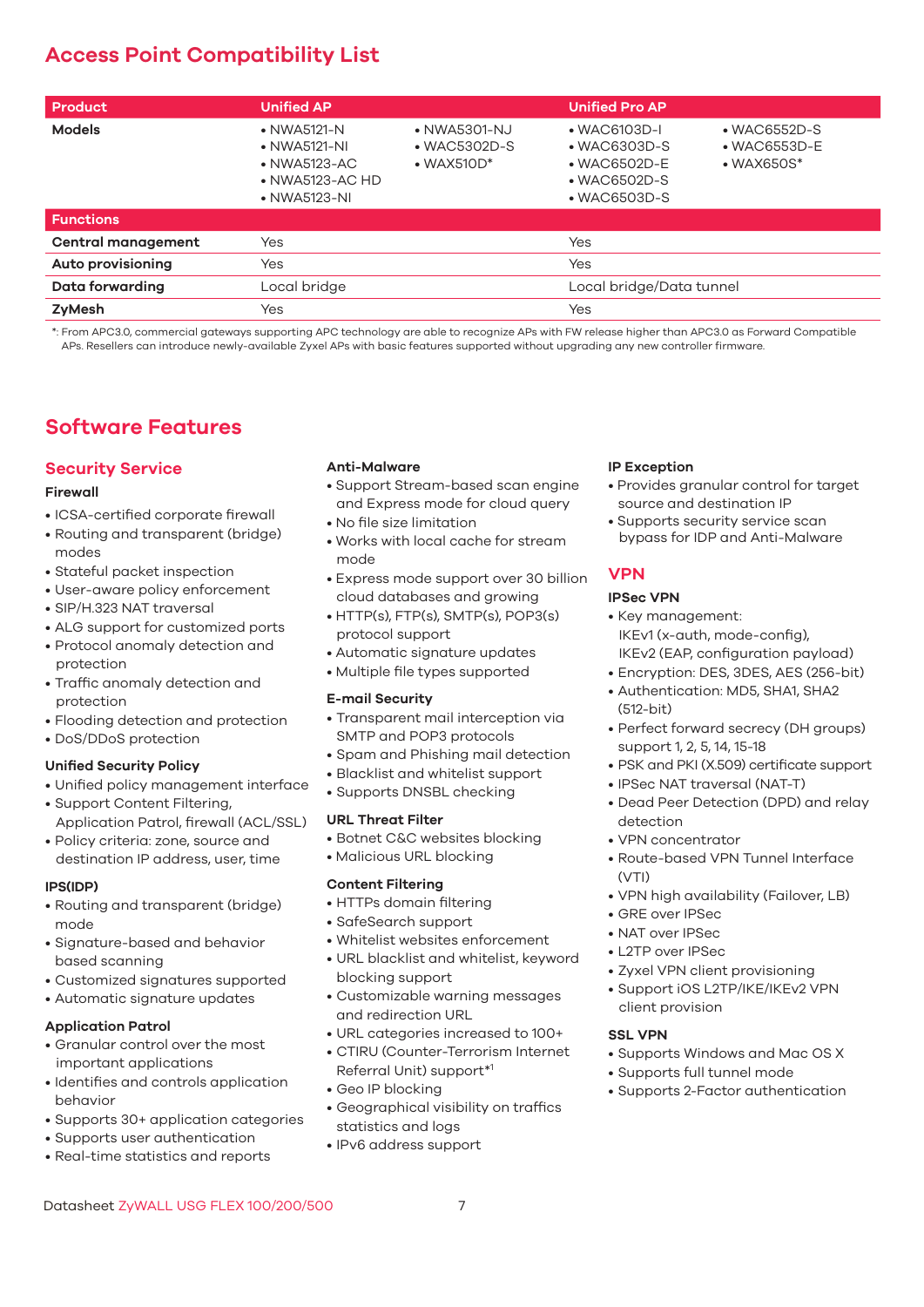# **Access Point Compatibility List**

| Product                   | <b>Unified AP</b>                                                                                              |                                                            | <b>Unified Pro AP</b>                                                                                                |                                                                    |
|---------------------------|----------------------------------------------------------------------------------------------------------------|------------------------------------------------------------|----------------------------------------------------------------------------------------------------------------------|--------------------------------------------------------------------|
| <b>Models</b>             | • NWA5121-N<br>$\bullet$ NWA5121-NI<br>$\bullet$ NWA5123-AC<br>$\bullet$ NWA5123-AC HD<br>$\bullet$ NWA5123-NI | • NWA5301-NJ<br>$\bullet$ WAC5302D-S<br>$\bullet$ WAX510D* | $\bullet$ WAC6103D-I<br>$\bullet$ WAC6303D-S<br>$\bullet$ WAC6502D-E<br>$\bullet$ WAC6502D-S<br>$\bullet$ WAC6503D-S | $\bullet$ WAC6552D-S<br>$\bullet$ WAC6553D-E<br>$\bullet$ WAX650S* |
| <b>Functions</b>          |                                                                                                                |                                                            |                                                                                                                      |                                                                    |
| <b>Central management</b> | Yes                                                                                                            |                                                            | Yes                                                                                                                  |                                                                    |
| <b>Auto provisioning</b>  | Yes                                                                                                            |                                                            | Yes                                                                                                                  |                                                                    |
| Data forwarding           | Local bridge                                                                                                   |                                                            | Local bridge/Data tunnel                                                                                             |                                                                    |
| ZyMesh                    | Yes                                                                                                            |                                                            | Yes                                                                                                                  |                                                                    |

\*: From APC3.0, commercial gateways supporting APC technology are able to recognize APs with FW release higher than APC3.0 as Forward Compatible APs. Resellers can introduce newly-available Zyxel APs with basic features supported without upgrading any new controller firmware.

# **Software Features**

# **Security Service**

#### **Firewall**

- ICSA-certified corporate firewall
- Routing and transparent (bridge) modes
- Stateful packet inspection
- User-aware policy enforcement
- SIP/H.323 NAT traversal
- ALG support for customized ports
- Protocol anomaly detection and protection
- Traffic anomaly detection and protection
- Flooding detection and protection
- DoS/DDoS protection

## **Unified Security Policy**

- Unified policy management interface
- Support Content Filtering, Application Patrol, firewall (ACL/SSL)
- Policy criteria: zone, source and destination IP address, user, time

## **IPS(IDP)**

- Routing and transparent (bridge) mode
- Signature-based and behavior based scanning
- Customized signatures supported
- Automatic signature updates

## **Application Patrol**

- Granular control over the most important applications
- Identifies and controls application behavior
- Supports 30+ application categories
- Supports user authentication
- Real-time statistics and reports

#### **Anti-Malware**

- Support Stream-based scan engine and Express mode for cloud query
- No file size limitation
- Works with local cache for stream mode
- Express mode support over 30 billion cloud databases and growing
- HTTP(s), FTP(s), SMTP(s), POP3(s) protocol support
- Automatic signature updates
- Multiple file types supported

## **E-mail Security**

- Transparent mail interception via SMTP and POP3 protocols
- Spam and Phishing mail detection
- Blacklist and whitelist support
- Supports DNSBL checking

## **URL Threat Filter**

- Botnet C&C websites blocking
- Malicious URL blocking

## **Content Filtering**

- HTTPs domain filtering
- SafeSearch support
- Whitelist websites enforcement
- URL blacklist and whitelist, keyword blocking support
- Customizable warning messages and redirection URL
- URL categories increased to 100+
- CTIRU (Counter-Terrorism Internet Referral Unit) support\*1
- Geo IP blocking
- Geographical visibility on traffics statistics and logs
- IPv6 address support

#### **IP Exception**

- Provides granular control for target source and destination IP
- Supports security service scan bypass for IDP and Anti-Malware

# **VPN**

## **IPSec VPN**

- Key management: IKEv1 (x-auth, mode-config), IKEv2 (EAP, configuration payload)
- Encryption: DES, 3DES, AES (256-bit)
- Authentication: MD5, SHA1, SHA2 (512-bit)
- Perfect forward secrecy (DH groups) support 1, 2, 5, 14, 15-18
- PSK and PKI (X.509) certificate support
	- IPSec NAT traversal (NAT-T)
	- Dead Peer Detection (DPD) and relay detection
	- VPN concentrator
	- Route-based VPN Tunnel Interface  $(VTI)$
	- VPN high availability (Failover, LB)
	- GRE over IPSec
	- NAT over IPSec
	- L2TP over IPSec
	- Zyxel VPN client provisioning
	- Support iOS L2TP/IKE/IKEv2 VPN client provision

## **SSL VPN**

- Supports Windows and Mac OS X
- Supports full tunnel mode
- Supports 2-Factor authentication